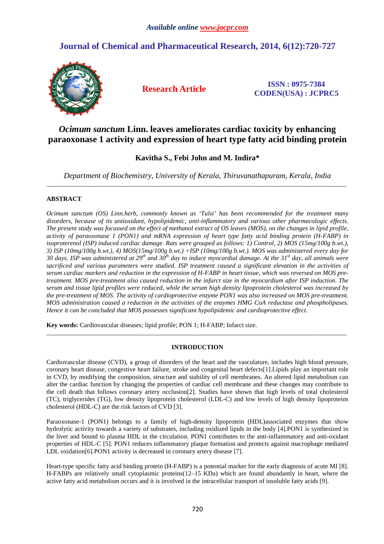# **Journal of Chemical and Pharmaceutical Research, 2014, 6(12):720-727**



**Research Article ISSN : 0975-7384 CODEN(USA) : JCPRC5**

## *Ocimum sanctum* **Linn. leaves ameliorates cardiac toxicity by enhancing paraoxonase 1 activity and expression of heart type fatty acid binding protein**

## **Kavitha S., Febi John and M. Indira\***

*Department of Biochemistry, University of Kerala, Thiruvanathapuram, Kerala, India*  \_\_\_\_\_\_\_\_\_\_\_\_\_\_\_\_\_\_\_\_\_\_\_\_\_\_\_\_\_\_\_\_\_\_\_\_\_\_\_\_\_\_\_\_\_\_\_\_\_\_\_\_\_\_\_\_\_\_\_\_\_\_\_\_\_\_\_\_\_\_\_\_\_\_\_\_\_\_\_\_\_\_\_\_\_\_\_\_\_\_\_\_\_

## **ABSTRACT**

*Ocimum sanctum (OS) Linn.herb, commonly known as 'Tulsi' has been recommended for the treatment many disorders, because of its antioxidant, hypolipidemic, anti-inflammatory and various other pharmacologic effects. The present study was focussed on the effect of methanol extract of OS leaves (MOS), on the changes in lipid profile, activity of paraoxonase 1 (PON1) and mRNA expression of heart type fatty acid binding protein (H-FABP) in isoproterenol (ISP) induced cardiac damage. Rats were grouped as follows: 1) Control, 2) MOS (15mg/100g b.wt.), 3) ISP (10mg/100g b.wt.), 4) MOS(15mg/100g b.wt.) +ISP (10mg/100g b.wt.). MOS was administered every day for 30 days. ISP was administered at 29th and 30th day to induce myocardial damage. At the 31st day, all animals were sacrificed and various parameters were studied. ISP treatment caused a significant elevation in the activities of serum cardiac markers and reduction in the expression of H-FABP in heart tissue, which was reversed on MOS pretreatment. MOS pre-treatment also caused reduction in the infarct size in the myocardium after ISP induction. The serum and tissue lipid profiles were reduced, while the serum high density lipoprotein cholesterol was increased by the pre-treatment of MOS. The activity of cardioprotective enzyme PON1 was also increased on MOS pre-treatment. MOS administration caused a reduction in the activities of the enzymes HMG CoA reductase and phospholipases. Hence it can be concluded that MOS possesses significant hypolipidemic and cardioprotective effect.* 

**Key words:** Cardiovascular diseases; lipid profile; PON 1; H-FABP; Infarct size.

## **INTRODUCTION**

\_\_\_\_\_\_\_\_\_\_\_\_\_\_\_\_\_\_\_\_\_\_\_\_\_\_\_\_\_\_\_\_\_\_\_\_\_\_\_\_\_\_\_\_\_\_\_\_\_\_\_\_\_\_\_\_\_\_\_\_\_\_\_\_\_\_\_\_\_\_\_\_\_\_\_\_\_\_\_\_\_\_\_\_\_\_\_\_\_\_\_\_\_

Cardiovascular disease (CVD), a group of disorders of the heart and the vasculature, includes high blood pressure, coronary heart disease, congestive heart failure, stroke and congenital heart defects[1].Lipids play an important role in CVD, by modifying the composition, structure and stability of cell membranes. An altered lipid metabolism can alter the cardiac function by changing the properties of cardiac cell membrane and these changes may contribute to the cell death that follows coronary artery occlusion[2]. Studies have shown that high levels of total cholesterol (TC), triglycerides (TG), low density lipoprotein cholesterol (LDL-C) and low levels of high density lipoproteins cholesterol (HDL-C) are the risk factors of CVD [3].

Paraoxonase-1 (PON1) belongs to a family of high-density lipoprotein (HDL)associated enzymes that show hydrolytic activity towards a variety of substrates, including oxidized lipids in the body [4].PON1 is synthesized in the liver and bound to plasma HDL in the circulation. PON1 contributes to the anti-inflammatory and anti-oxidant properties of HDL-C [5]. PON1 reduces inflammatory plaque formation and protects against macrophage mediated LDL oxidation[6].PON1 activity is decreased in coronary artery disease [7].

Heart-type specific fatty acid binding protein (H-FABP) is a potential marker for the early diagnosis of acute MI [8]. H-FABPs are relatively small cytoplasmic proteins(12–15 KDa) which are found abundantly in heart, where the active fatty acid metabolism occurs and it is involved in the intracellular transport of insoluble fatty acids [9].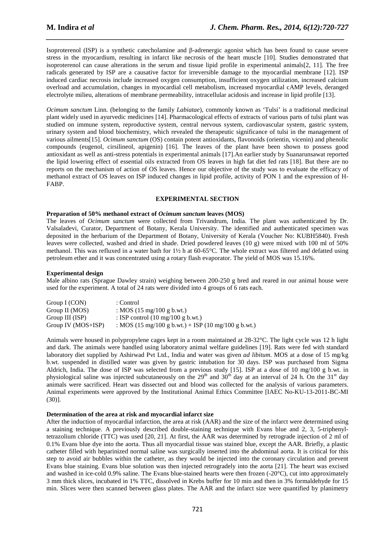Isoproterenol (ISP) is a synthetic catecholamine and β-adrenergic agonist which has been found to cause severe stress in the myocardium, resulting in infarct like necrosis of the heart muscle [10]. Studies demonstrated that isoproterenol can cause alterations in the serum and tissue lipid profile in experimental animals[2, 11]. The free radicals generated by ISP are a causative factor for irreversible damage to the myocardial membrane [12]. ISP induced cardiac necrosis include increased oxygen consumption, insufficient oxygen utilization, increased calcium overload and accumulation, changes in myocardial cell metabolism, increased myocardial cAMP levels, deranged electrolyte milieu, alterations of membrane permeability, intracellular acidosis and increase in lipid profile [13].

*\_\_\_\_\_\_\_\_\_\_\_\_\_\_\_\_\_\_\_\_\_\_\_\_\_\_\_\_\_\_\_\_\_\_\_\_\_\_\_\_\_\_\_\_\_\_\_\_\_\_\_\_\_\_\_\_\_\_\_\_\_\_\_\_\_\_\_\_\_\_\_\_\_\_\_\_\_*

*Ocimum sanctum* Linn. (belonging to the family *Labiatae*), commonly known as 'Tulsi' is a traditional medicinal plant widely used in ayurvedic medicines [14]. Pharmacological effects of extracts of various parts of tulsi plant was studied on immune system, reproductive system, central nervous system, cardiovascular system, gastric system, urinary system and blood biochemistry, which revealed the therapeutic significance of tulsi in the management of various ailments[15]. *Ocimum sanctum* (OS) contain potent antioxidants, flavonoids (orientin, vicenin) and phenolic compounds (eugenol, cirsilineol, apigenin) [16]. The leaves of the plant have been shown to possess good antioxidant as well as anti-stress potentials in experimental animals [17].An earlier study by Suanarunsawat reported the lipid lowering effect of essential oils extracted from OS leaves in high fat diet fed rats [18]. But there are no reports on the mechanism of action of OS leaves. Hence our objective of the study was to evaluate the efficacy of methanol extract of OS leaves on ISP induced changes in lipid profile, activity of PON 1 and the expression of H-FABP.

### **EXPERIMENTAL SECTION**

#### **Preparation of 50% methanol extract of** *Ocimum sanctum* **leaves (MOS)**

The leaves of *Ocimum sanctum* were collected from Trivandrum, India. The plant was authenticated by Dr. Valsaladevi, Curator, Department of Botany, Kerala University. The identified and authenticated specimen was deposited in the herbarium of the Department of Botany, University of Kerala (Voucher No: KUBH5840). Fresh leaves were collected, washed and dried in shade. Dried powdered leaves (10 g) were mixed with 100 ml of 50% methanol. This was refluxed in a water bath for 1½ h at 60-65°C. The whole extract was filtered and defatted using petroleum ether and it was concentrated using a rotary flash evaporator. The yield of MOS was 15.16%.

#### **Experimental design**

Male albino rats (Sprague Dawley strain) weighing between 200-250 g bred and reared in our animal house were used for the experiment. A total of 24 rats were divided into 4 groups of 6 rats each.

| Group I (CON)        | : Control                                           |
|----------------------|-----------------------------------------------------|
| Group II (MOS)       | : MOS $(15 \text{ mg}/100 \text{ g b.wt.})$         |
| Group III (ISP)      | : ISP control $(10 \text{ mg}/100 \text{ g b.wt.})$ |
| Group IV $(MOS+ISP)$ | : MOS (15 mg/100 g b.wt.) + ISP (10 mg/100 g b.wt.) |

Animals were housed in polypropylene cages kept in a room maintained at 28-32°C. The light cycle was 12 h light and dark. The animals were handled using laboratory animal welfare guidelines [19]. Rats were fed with standard laboratory diet supplied by Ashirwad Pvt Ltd., India and water was given *ad libitum*. MOS at a dose of 15 mg/kg b.wt. suspended in distilled water was given by gastric intubation for 30 days. ISP was purchased from Sigma Aldrich, India. The dose of ISP was selected from a previous study [15]. ISP at a dose of 10 mg/100 g b.wt. in physiological saline was injected subcutaneously on the  $29<sup>th</sup>$  and  $30<sup>th</sup>$  day at an interval of 24 h. On the  $31<sup>st</sup>$  day animals were sacrificed. Heart was dissected out and blood was collected for the analysis of various parameters. Animal experiments were approved by the Institutional Animal Ethics Committee [IAEC No-KU-13-2011-BC-MI (30)].

#### **Determination of the area at risk and myocardial infarct size**

After the induction of myocardial infarction, the area at risk (AAR) and the size of the infarct were determined using a staining technique. A previously described double-staining technique with Evans blue and 2, 3, 5-triphenyltetrazolium chloride (TTC) was used [20, 21]. At first, the AAR was determined by retrograde injection of 2 ml of 0.1% Evans blue dye into the aorta. Thus all myocardial tissue was stained blue, except the AAR. Briefly, a plastic catheter filled with heparinized normal saline was surgically inserted into the abdominal aorta. It is critical for this step to avoid air bubbles within the catheter, as they would be injected into the coronary circulation and prevent Evans blue staining. Evans blue solution was then injected retrogradely into the aorta [21]. The heart was excised and washed in ice-cold 0.9% saline. The Evans blue-stained hearts were then frozen (-20°C), cut into approximately 3 mm thick slices, incubated in 1% TTC, dissolved in Krebs buffer for 10 min and then in 3% formaldehyde for 15 min. Slices were then scanned between glass plates. The AAR and the infarct size were quantified by planimetry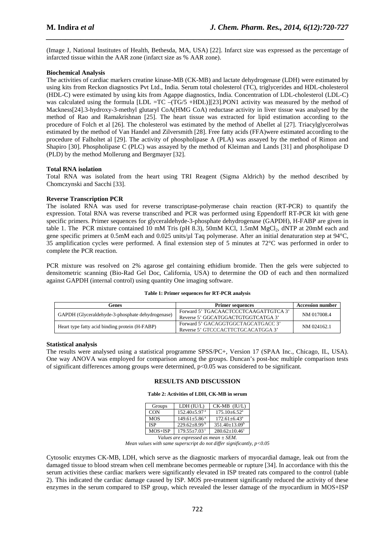(Image J, National Institutes of Health, Bethesda, MA, USA) [22]. Infarct size was expressed as the percentage of infarcted tissue within the AAR zone (infarct size as % AAR zone).

*\_\_\_\_\_\_\_\_\_\_\_\_\_\_\_\_\_\_\_\_\_\_\_\_\_\_\_\_\_\_\_\_\_\_\_\_\_\_\_\_\_\_\_\_\_\_\_\_\_\_\_\_\_\_\_\_\_\_\_\_\_\_\_\_\_\_\_\_\_\_\_\_\_\_\_\_\_*

### **Biochemical Analysis**

The activities of cardiac markers creatine kinase-MB (CK-MB) and lactate dehydrogenase (LDH) were estimated by using kits from Reckon diagnostics Pvt Ltd., India. Serum total cholesterol (TC), triglycerides and HDL-cholesterol (HDL-C) were estimated by using kits from Agappe diagnostics, India. Concentration of LDL-cholesterol (LDL-C) was calculated using the formula [LDL =TC –(TG/5 +HDL)][23].PON1 activity was measured by the method of Mackness[24].3-hydroxy-3-methyl glutaryl CoA(HMG CoA) reductase activity in liver tissue was analysed by the method of Rao and Ramakrishnan [25]. The heart tissue was extracted for lipid estimation according to the procedure of Folch et al [26]. The cholesterol was estimated by the method of Abellet al [27]. Triacylglycerolwas estimated by the method of Van Handel and Zilversmith [28]. Free fatty acids (FFA)were estimated according to the procedure of Falholtet al [29]. The activity of phospholipase A (PLA) was assayed by the method of Rimon and Shapiro [30]. Phospholipase C (PLC) was assayed by the method of Kleiman and Lands [31] and phospholipase D (PLD) by the method Mollerung and Bergmayer [32].

### **Total RNA isolation**

Total RNA was isolated from the heart using TRI Reagent (Sigma Aldrich) by the method described by Chomczynski and Sacchi [33].

## **Reverse Transcription PCR**

The isolated RNA was used for reverse transcriptase-polymerase chain reaction (RT-PCR) to quantify the expression. Total RNA was reverse transcribed and PCR was performed using Eppendorff RT-PCR kit with gene specific primers. Primer sequences for glyceraldehyde-3-phosphate dehydrogenase (GAPDH), H-FABP are given in table 1. The PCR mixture contained 10 mM Tris (pH 8.3), 50mM KCl, 1.5mM MgCl<sub>2</sub>, dNTP at 20mM each and gene specific primers at 0.5mM each and 0.025 units/ $\mu$ l Taq polymerase. After an initial denaturation step at 94°C, 35 amplification cycles were performed. A final extension step of 5 minutes at 72°C was performed in order to complete the PCR reaction.

PCR mixture was resolved on 2% agarose gel containing ethidium bromide. Then the gels were subjected to densitometric scanning (Bio-Rad Gel Doc, California, USA) to determine the OD of each and then normalized against GAPDH (internal control) using quantity One imaging software.

#### **Table 1: Primer sequences for RT-PCR analysis**

| Genes                                            | <b>Primer sequences</b>               | <b>Accession number</b> |  |
|--------------------------------------------------|---------------------------------------|-------------------------|--|
| GAPDH (Glyceraldehyde-3-phosphate dehydrogenase) | Forward 5' TGACAACTCCCTCAAGATTGTCA 3' | NM 017008.4             |  |
|                                                  | Reverse 5' GGCATGGACTGTGGTCATGA 3'    |                         |  |
|                                                  | Forward 5' GACAGGTGGCTAGCATGACC 3'    | NM 024162.1             |  |
| Heart type fatty acid binding protein (H-FABP)   | Reverse 5' GTCCCACTTCTGCACATGGA 3'    |                         |  |

### **Statistical analysis**

The results were analysed using a statistical programme SPSS/PC+, Version 17 (SPAA Inc., Chicago, IL, USA). One way ANOVA was employed for comparison among the groups. Duncan's post-hoc multiple comparison tests of significant differences among groups were determined, p<0.05 was considered to be significant.

### **RESULTS AND DISCUSSION**

## **Table 2: Activities of LDH, CK-MB in serum**

| Groups     | LDH (IU/L)                     | $CK-MB$ $(IU/L)$               |
|------------|--------------------------------|--------------------------------|
| <b>CON</b> | $152.40 \pm 5.97$ <sup>a</sup> | $175.10\pm 6.52$ <sup>a</sup>  |
| <b>MOS</b> | $149.61 \pm 5.86$ <sup>a</sup> | $172.61 \pm 6.43$ <sup>a</sup> |
| <b>ISP</b> | $229.62 \pm 8.99^{\mathrm{b}}$ | $351.40 \pm 13.09^b$           |
| $MOS+ISP$  | $179.55 + 7.03^{\circ}$        | $280.62 + 10.46^{\circ}$       |

*Values are expressed as mean ± SEM.* 

*Mean values with same superscript do not differ significantly, p<0.05*

Cytosolic enzymes CK-MB, LDH, which serve as the diagnostic markers of myocardial damage, leak out from the damaged tissue to blood stream when cell membrane becomes permeable or rupture [34]. In accordance with this the serum activities these cardiac markers were significantly elevated in ISP treated rats compared to the control (table 2). This indicated the cardiac damage caused by ISP. MOS pre-treatment significantly reduced the activity of these enzymes in the serum compared to ISP group, which revealed the lesser damage of the myocardium in MOS+ISP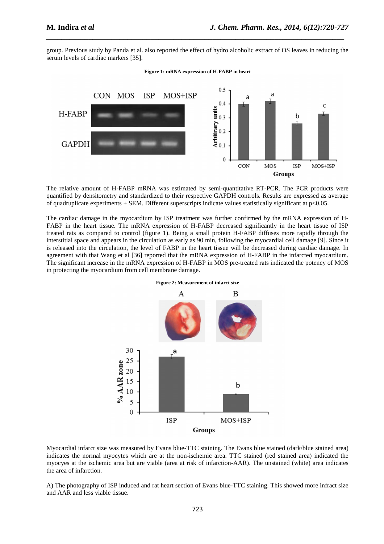group. Previous study by Panda et al. also reported the effect of hydro alcoholic extract of OS leaves in reducing the serum levels of cardiac markers [35].

*\_\_\_\_\_\_\_\_\_\_\_\_\_\_\_\_\_\_\_\_\_\_\_\_\_\_\_\_\_\_\_\_\_\_\_\_\_\_\_\_\_\_\_\_\_\_\_\_\_\_\_\_\_\_\_\_\_\_\_\_\_\_\_\_\_\_\_\_\_\_\_\_\_\_\_\_\_*

#### **Figure 1: mRNA expression of H-FABP in heart**



The relative amount of H-FABP mRNA was estimated by semi-quantitative RT-PCR. The PCR products were quantified by densitometry and standardized to their respective GAPDH controls. Results are expressed as average of quadruplicate experiments  $\pm$  SEM. Different superscripts indicate values statistically significant at  $p$ <0.05.

The cardiac damage in the myocardium by ISP treatment was further confirmed by the mRNA expression of H-FABP in the heart tissue. The mRNA expression of H-FABP decreased significantly in the heart tissue of ISP treated rats as compared to control (figure 1). Being a small protein H-FABP diffuses more rapidly through the interstitial space and appears in the circulation as early as 90 min, following the myocardial cell damage [9]. Since it is released into the circulation, the level of FABP in the heart tissue will be decreased during cardiac damage. In agreement with that Wang et al [36] reported that the mRNA expression of H-FABP in the infarcted myocardium. The significant increase in the mRNA expression of H-FABP in MOS pre-treated rats indicated the potency of MOS in protecting the myocardium from cell membrane damage.



**Figure 2: Measurement of infarct size** 

Myocardial infarct size was measured by Evans blue-TTC staining. The Evans blue stained (dark/blue stained area) indicates the normal myocytes which are at the non-ischemic area. TTC stained (red stained area) indicated the myocyes at the ischemic area but are viable (area at risk of infarction-AAR). The unstained (white) area indicates the area of infarction.

A) The photography of ISP induced and rat heart section of Evans blue-TTC staining. This showed more infract size and AAR and less viable tissue.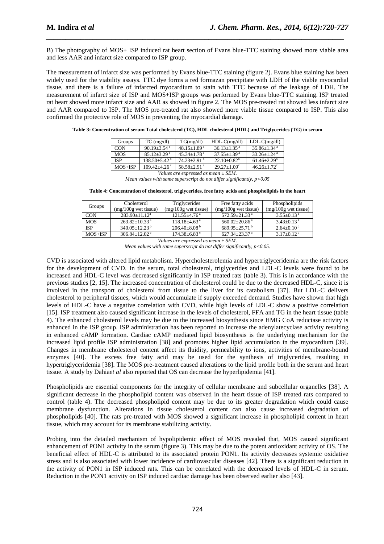B) The photography of MOS+ ISP induced rat heart section of Evans blue-TTC staining showed more viable area and less AAR and infarct size compared to ISP group.

*\_\_\_\_\_\_\_\_\_\_\_\_\_\_\_\_\_\_\_\_\_\_\_\_\_\_\_\_\_\_\_\_\_\_\_\_\_\_\_\_\_\_\_\_\_\_\_\_\_\_\_\_\_\_\_\_\_\_\_\_\_\_\_\_\_\_\_\_\_\_\_\_\_\_\_\_\_*

The measurement of infarct size was performed by Evans blue-TTC staining (figure 2). Evans blue staining has been widely used for the viability assays. TTC dye forms a red formazan precipitate with LDH of the viable myocardial tissue, and there is a failure of infarcted myocardium to stain with TTC because of the leakage of LDH. The measurement of infarct size of ISP and MOS+ISP groups was performed by Evans blue-TTC staining. ISP treated rat heart showed more infarct size and AAR as showed in figure 2. The MOS pre-treated rat showed less infarct size and AAR compared to ISP. The MOS pre-treated rat also showed more viable tissue compared to ISP. This also confirmed the protective role of MOS in preventing the myocardial damage.

| Groups     | $TC$ (mg/dl)                | TG(mg/dl)                     | $HDL-C(mg/dl)$                | $LDL-C(mg/dl)$                |
|------------|-----------------------------|-------------------------------|-------------------------------|-------------------------------|
| <b>CON</b> | $90.19 + 3.54$ <sup>a</sup> | $48.15 + 1.89$ <sup>a</sup>   | $36.13 + 1.35$ <sup>a</sup>   | $35.86 \pm 1.34$ <sup>a</sup> |
| <b>MOS</b> | $85.12 + 3.29$ <sup>a</sup> | $45.34 + 1.78$ <sup>a</sup>   | $37.55 \pm 1.39$ <sup>a</sup> | $33.26 + 1.24$ <sup>a</sup>   |
| <b>ISP</b> | $138.50 + 5.42^{\circ}$     | $74.23 \pm 2.91$ <sup>b</sup> | $22.10 + 0.82^b$              | $61.46 \pm 2.29^{\circ}$      |
| $MOS+ISP$  | $109.42 + 4.26$             | $58.58 \pm 2.91$ °            | $29.27+1.09^{\circ}$          | $46.26 + 1.72^{\circ}$        |
|            | -- -                        |                               | -----                         |                               |

| Table 3: Concentration of serum Total cholesterol (TC), HDL cholesterol (HDL) and Triglycerides (TG) in serum |  |  |
|---------------------------------------------------------------------------------------------------------------|--|--|
|                                                                                                               |  |  |

*Values are expressed as mean ± SEM. Mean values with same superscript do not differ significantly, p<0.05* 

**Table 4: Concentration of cholesterol, triglycerides, free fatty acids and phospholipids in the heart** 

| Cholesterol                     | Triglycerides                | Free fatty acids                | Phospholipids                |
|---------------------------------|------------------------------|---------------------------------|------------------------------|
| $(mg/100g$ wet tissue)          | $(mg/100g$ wet tissue)       | $(mg/100g$ wet tissue)          | $(mg/100g$ wet tissue)       |
| $283.90 + 11.12^a$              | $121.55 + 4.76^{\text{a}}$   | $572.59 + 21.33$ <sup>a</sup>   | $3.55+0.13^{\text{a}}$       |
| $263.82+10.33^{\text{a}}$       | $118.18 + 4.63$ <sup>a</sup> | $560.02 + 20.86$ <sup>a</sup>   | $3.43+0.13^{\text{a}}$       |
| $340.05 \pm 12.23^{\mathrm{b}}$ | $206.40\pm8.08^{\mathrm{b}}$ | $689.95 \pm 25.71$ <sup>b</sup> | $2.64 \pm 0.10^{\mathrm{b}}$ |
| $306.84 + 12.02$ <sup>c</sup>   | $174.38 \pm 6.83$ °          | $627.34 \pm 23.37$ <sup>a</sup> | $3.17+0.12^{\circ}$          |
|                                 |                              | .                               | $\sim$ $\sim$ $\sim$         |

*Values are expressed as mean ± SEM. Mean values with same superscript do not differ significantly, p<0.05.* 

CVD is associated with altered lipid metabolism. Hypercholesterolemia and hypertriglyceridemia are the risk factors for the development of CVD. In the serum, total cholesterol, triglycerides and LDL-C levels were found to be increased and HDL-C level was decreased significantly in ISP treated rats (table 3). This is in accordance with the previous studies [2, 15]. The increased concentration of cholesterol could be due to the decreased HDL-C, since it is involved in the transport of cholesterol from tissue to the liver for its catabolism [37]. But LDL-C delivers cholesterol to peripheral tissues, which would accumulate if supply exceeded demand. Studies have shown that high levels of HDL-C have a negative correlation with CVD, while high levels of LDL-C show a positive correlation [15]. ISP treatment also caused significant increase in the levels of cholesterol, FFA and TG in the heart tissue (table 4). The enhanced cholesterol levels may be due to the increased biosynthesis since HMG CoA reductase activity is enhanced in the ISP group. ISP administration has been reported to increase the adenylatecyclase activity resulting in enhanced cAMP formation. Cardiac cAMP mediated lipid biosynthesis is the underlying mechanism for the increased lipid profile ISP administration [38] and promotes higher lipid accumulation in the myocardium [39]. Changes in membrane cholesterol content affect its fluidity, permeability to ions, activities of membrane-bound enzymes [40]. The excess free fatty acid may be used for the synthesis of triglycerides, resulting in hypertriglyceridemia [38]. The MOS pre-treatment caused alterations to the lipid profile both in the serum and heart tissue. A study by Dahia*et al* also reported that OS can decrease the hyperlipidemia [41].

Phospholipids are essential components for the integrity of cellular membrane and subcellular organelles [38]. A significant decrease in the phospholipid content was observed in the heart tissue of ISP treated rats compared to control (table 4). The decreased phospholipid content may be due to its greater degradation which could cause membrane dysfunction. Alterations in tissue cholesterol content can also cause increased degradation of phospholipids [40]. The rats pre-treated with MOS showed a significant increase in phospholipid content in heart tissue, which may account for its membrane stabilizing activity.

Probing into the detailed mechanism of hypolipidemic effect of MOS revealed that, MOS caused significant enhancement of PON1 activity in the serum (figure 3). This may be due to the potent antioxidant activity of OS. The beneficial effect of HDL-C is attributed to its associated protein PON1. Its activity decreases systemic oxidative stress and is also associated with lower incidence of cardiovascular diseases [42]. There is a significant reduction in the activity of PON1 in ISP induced rats. This can be correlated with the decreased levels of HDL-C in serum. Reduction in the PON1 activity on ISP induced cardiac damage has been observed earlier also [43].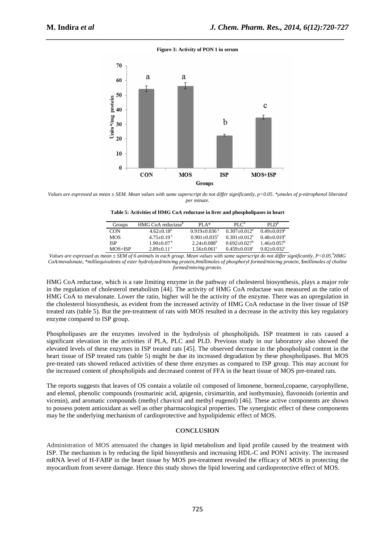#### **Figure 3: Activity of PON 1 in serum**

*\_\_\_\_\_\_\_\_\_\_\_\_\_\_\_\_\_\_\_\_\_\_\_\_\_\_\_\_\_\_\_\_\_\_\_\_\_\_\_\_\_\_\_\_\_\_\_\_\_\_\_\_\_\_\_\_\_\_\_\_\_\_\_\_\_\_\_\_\_\_\_\_\_\_\_\_\_*



*Values are expressed as mean ± SEM. Mean values with same superscript do not differ significantly, p<0.05. \*µmoles of p-nitrophenol liberated per minute.* 

| Table 5: Activities of HMG CoA reductase in liver and phospholipases in heart |  |
|-------------------------------------------------------------------------------|--|
|-------------------------------------------------------------------------------|--|

| Groups     | HMG CoA reductase <sup>*</sup> | $PI A*$                      | PI $C^*$                     | PI D <sup>5</sup>           |
|------------|--------------------------------|------------------------------|------------------------------|-----------------------------|
| <b>CON</b> | $4.62+0.18^a$                  | $0.919 + 0.036$ <sup>a</sup> | $0.307 + 0.012^a$            | $0.49 + 0.019^a$            |
| <b>MOS</b> | $4.75+0.19a$                   | $0.901 + 0.035$ <sup>a</sup> | $0.301 + 0.012$ <sup>a</sup> | $0.48 + 0.019$ <sup>a</sup> |
| ISP        | $1.90+0.07b$                   | $2.24+0.088^b$               | $0.692 + 0.027$ <sup>b</sup> | $1.46 + 0.057$ <sup>b</sup> |
| $MOS+ISP$  | $2.89+0.11^{\circ}$            | $1.56 + 0.061$ <sup>c</sup>  | $0.459 + 0.018^{\circ}$      | $0.82 + 0.032$              |

*Values are expressed as mean ± SEM of 6 animals in each group. Mean values with same superscript do not differ significantly, P<0.05.¥HMG CoA/mevalonate, \*milliequivalents of ester hydrolyzed/min/mg protein,#millimoles of phosphoryl formed/min/mg protein, \$millimoles of choline formed/min/mg protein.* 

HMG CoA reductase, which is a rate limiting enzyme in the pathway of cholesterol biosynthesis, plays a major role in the regulation of cholesterol metabolism [44]. The activity of HMG CoA reductase was measured as the ratio of HMG CoA to mevalonate. Lower the ratio, higher will be the activity of the enzyme. There was an upregulation in the cholesterol biosynthesis, as evident from the increased activity of HMG CoA reductase in the liver tissue of ISP treated rats (table 5). But the pre-treatment of rats with MOS resulted in a decrease in the activity this key regulatory enzyme compared to ISP group.

Phospholipases are the enzymes involved in the hydrolysis of phospholipids. ISP treatment in rats caused a significant elevation in the activities if PLA, PLC and PLD. Previous study in our laboratory also showed the elevated levels of these enzymes in ISP treated rats [45]. The observed decrease in the phospholipid content in the heart tissue of ISP treated rats (table 5) might be due its increased degradation by these phospholipases. But MOS pre-treated rats showed reduced activities of these three enzymes as compared to ISP group. This may account for the increased content of phospholipids and decreased content of FFA in the heart tissue of MOS pre-treated rats.

The reports suggests that leaves of OS contain a volatile oil composed of limonene, borneol,copaene, caryophyllene, and elemol, phenolic compounds (rosmarinic acid, apigenin, cirsimaritin, and isothymusin), flavonoids (orientin and vicenin), and aromatic compounds (methyl chavicol and methyl eugenol) [46]. These active components are shown to possess potent antioxidant as well as other pharmacological properties. The synergistic effect of these components may be the underlying mechanism of cardioprotective and hypolipidemic effect of MOS.

#### **CONCLUSION**

Administration of MOS attenuated the changes in lipid metabolism and lipid profile caused by the treatment with ISP. The mechanism is by reducing the lipid biosynthesis and increasing HDL-C and PON1 activity. The increased mRNA level of H-FABP in the heart tissue by MOS pre-treatment revealed the efficacy of MOS in protecting the myocardium from severe damage. Hence this study shows the lipid lowering and cardioprotective effect of MOS.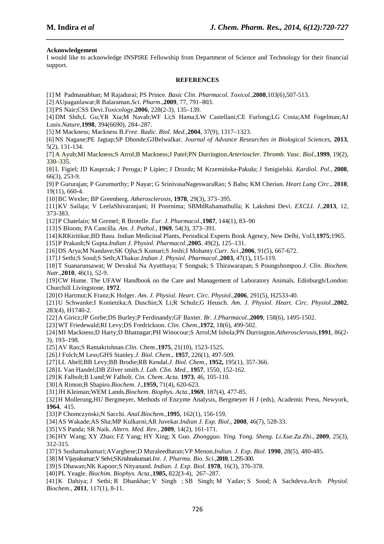### **Acknowledgement**

I would like to acknowledge INSPIRE Fellowship from Department of Science and Technology for their financial support.

*\_\_\_\_\_\_\_\_\_\_\_\_\_\_\_\_\_\_\_\_\_\_\_\_\_\_\_\_\_\_\_\_\_\_\_\_\_\_\_\_\_\_\_\_\_\_\_\_\_\_\_\_\_\_\_\_\_\_\_\_\_\_\_\_\_\_\_\_\_\_\_\_\_\_\_\_\_*

#### **REFERENCES**

- [1] M Padmanabhan; M Rajadurai; PS Prince. *Basic Clin. Pharmacol. Toxicol*.,**2008**,103(6),507-513.
- [2] AUpaganlawar;R Balaraman.*Sci. Pharm*.,**2009**, 77, 791–803.
- [3] PS Nair;CSS Devi.*Toxicology*,**2006**, 228(2-3), 135–139.
- [4] DM Shih;L Gu;YR Xia;M Navab;WF Li;S Hama;LW Castellani;CE Furlong;LG Costa;AM Fogelman;AJ Lusis.*Nature*,**1998**, 394(6690), 284–287.

[5] M Mackness; Mackness B.*Free. Radic. Biol. Med*.,**2004**, 37(9), 1317–1323.

- [6] NS Nagane;PE Jagtap;SP Dhonde;GJBelwalkar. *Journal of Advance Researches in Biological Sciences*, **2013**, 5(2), 131-134.
- [7] A Ayub;MI Mackness;S Arrol;B Mackness;J Patel;PN Durrington.*Arterioscler. Thromb. Vasc. Biol*.,**1999**, 19(2), 330–335.
- [8] L Figiel; JD Kasprzak; J Peruga; P Lipiec; J Drozdz; M Krzemińska-Pakuła; J Smigielski. *Kardiol. Pol*., **2008**, 66(3), 253-9.
- [9] P Gururajan; P Gurumurthy; P Nayar; G SrinivasaNageswaraRao; S Babu; KM Cherian. *Heart Lung Circ*., **2010**, 19(11), 660-4.
- [10]BC Wexler; BP Greenberg. *Atherosclerosis*, **1978**, 29(3), 373–395.
- [11]KV Sailaja; V LeelaShivaranjani; H Poornima; SBMdRahamathulla; K Lakshmi Devi. *EXCLI. J*.,**2013**, 12, 373-383.
- [12]P Chatelain; M Gremel; R Brotelle. *Eur. J. Pharmacol*.,**1987**, 144(1), 83–90
- [13]S Bloom; PA Cancilla. *Am. J. Pathol*., **1969**, 54(3), 373–391.
- [14]KRKiritikar,BD Basu. Indian Medicinal Plants, Periodical Experts Book Agency, New Delhi, Vol3,**1975**;1965.
- [15]P Prakash;N Gupta.*Indian J. Physiol. Pharmacol*.,**2005**, 49(2), 125–131.
- [16]DS Arya;M Nandave;SK Ojha;S Kumari;S Joshi;I Mohanty.*Curr. Sci*.,**2006**, 91(5), 667-672.
- [17]J Sethi;S Sood;S Seth;AThakur.*Indian J. Physiol. Pharmacol*.,**2003**, 47(1)**,** 115-119.
- [18]T Suanarunsawat; W Devakul Na Ayutthaya; T Songsak; S Thirawarapan; S Poungshompoo.*J. Clin. Biochem. Nutr*.,**2010**, 46(1), 52-9.
- [19]CW Hume. The UFAW Handbook on the Care and Management of Laboratory Animals. Edinburgh/London: Churchill Livingstone, **1972**.
- [20]O Hartmut;K Franz;K Holger. *Am. J. Physiol. Heart. Circ. Physiol.,***2006**, 291(5), H2533-40.
- [21]U Schwanke;I Konietzka;A Duschin;X Li;R Schulz;G Heusch. *Am. J. Physiol. Heart. Circ. Physiol*.,**2002**, 283(4), H1740-2.
- [22]A Giricz;JP Gorbe;DS Burley;P Ferdinandy;GF Baxter. *Br. J.Pharmacol.,***2009**, 158(6), 1495-1502.
- [23]WT Friedewald;RI Levy;DS Fredrickson. *Clin. Chem*.,**1972**, 18(6), 499-502.
- [24]MI Mackness;D Harty;D Bhatnagar;PH Winocour;S Arrol;M Ishola;PN Durrington.*Atherosclerosis*,**1991**, 86(2- 3), 193–198.
- [25]AV Rao;S Ramakrishnan.*Clin. Chem*.,**1975**, 21(10), 1523-1525.
- [26]J Folch;M Less;GHS Stanley.*J. Biol. Chem*., **1957**, 226(1), 497-509.
- [27]LL Abell;BB Levy;BB Brodie;RB Kendal.*J. Biol. Chem*., **1952,** 195(1), 357-366.
- [28]L Van Handel;DB Zilver smith.*J. Lab. Clin. Med.*, **1957**, 1550, 152-162.
- [29]K Falholt;B Lund;W Falholt. *Cin. Chem. Acta*. **1973**, 46, 105-110.
- [30]A Rimon;B Shapiro.*Biochem. J*.,**1959,** 71(4), 620-623.
- [31]JH Kleiman;WEM Lands.*Biochem. Biophys. Acta*.,**1969**, 187(4), 477-85.
- [32]H Mollerung,HU Bergmeyer, Methods of Enzyme Analysis, Bergmeyer H J (eds), Academic Press, Newyork, **1964**, 415.
- [33]P Chomczynski;N Sacchi. *Anal.Biochem.*,**1995**, 162(1), 156-159.
- [34]AS Wakade;AS Sha;MP Kulkarni;AR Juvekar.*Indian J. Exp. Biol*., **2008**, 46(7), 528-33.
- [35]VS Panda; SR Naik. *Altern. Med. Rev*., **2009**, 14(2), 161-171.
- [36]HY Wang; XY Zhao; FZ Yang; HY Xing; X Guo. *Zhongguo. Ying. Yong. Sheng. Li.Xue.Za.Zhi*., **2009**, 25(3), 312-315.
- [37]S Sushamakumari;AVarghese;D Muraleedharan;VP Menon.*Indian. J. Exp. Biol*. **1990**, 28(5), 480-485.
- [38]M Vijayakumar;V Selvi;SKrishnakumari.*Int. J. Pharma. Bio. Sci.,***2010**, 1, 295-300.
- [39]S Dhawan;NK Kapoor;S Nityanand. *Indian. J. Exp. Biol*. **1978**, 16(3), 376-378.
- [40]PL Yeagle. *Biochim. Biophys. Acta*.,**1985,** 822(3-4), 267–287.

[41]K Dahiya; J Sethi; R Dhankhar; V Singh ; SB Singh; M Yadav; S Sood; A Sachdeva.*Arch. Physiol. Biochem*., **2011**, 117(1), 8-11.